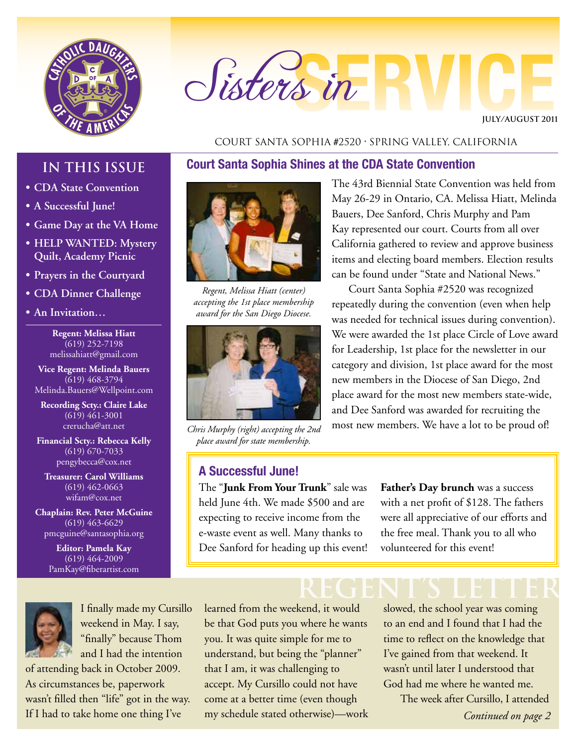

# Sisters in

**JULY/AUGUST 2011**

#### Court Santa Sophia #2520 • Spring Valley, California

**Court Santa Sophia Shines at the CDA State Convention**

# **IN THIS ISSUE**

- **• CDA State Convention**
- **• A Successful June!**
- **• Game Day at the VA Home**
- **• HELP WANTED: Mystery Quilt, Academy Picnic**
- **• Prayers in the Courtyard**
- **• CDA Dinner Challenge**
- **• An Invitation…**

**Regent: Melissa Hiatt**  $(619)$  252-7198 melissahiatt@gmail.com

**Vice Regent: Melinda Bauers**  $(619)$  468-3794 Melinda.Bauers@Wellpoint.com

**Recording Scty.: Claire Lake** (619) 461-3001 crerucha@att.net

**Financial Scty.: Rebecca Kelly** (619) 670-7033 pengybecca@cox.net

**Treasurer: Carol Williams** (619) 462-0663 wifam@cox.net

**Chaplain: Rev. Peter McGuine** (619) 463-6629 pmcguine@santasophia.org

> **Editor: Pamela Kay**  $\overline{(619)}$  464-2009 PamKay@fiberartist.com



I finally made my Cursillo weekend in May. I say, "finally" because Thom and I had the intention

of attending back in October 2009. As circumstances be, paperwork wasn't filled then "life" got in the way. If I had to take home one thing I've



*Regent, Melissa Hiatt (center) accepting the 1st place membership award for the San Diego Diocese.*



*Chris Murphy (right) accepting the 2nd place award for state membership.* 

# **A Successful June!**

The "**Junk From Your Trunk**" sale was held June 4th. We made \$500 and are expecting to receive income from the e-waste event as well. Many thanks to Dee Sanford for heading up this event!

The 43rd Biennial State Convention was held from May 26-29 in Ontario, CA. Melissa Hiatt, Melinda Bauers, Dee Sanford, Chris Murphy and Pam Kay represented our court. Courts from all over California gathered to review and approve business items and electing board members. Election results can be found under "State and National News."

Court Santa Sophia #2520 was recognized repeatedly during the convention (even when help was needed for technical issues during convention). We were awarded the 1st place Circle of Love award for Leadership, 1st place for the newsletter in our category and division, 1st place award for the most new members in the Diocese of San Diego, 2nd place award for the most new members state-wide, and Dee Sanford was awarded for recruiting the most new members. We have a lot to be proud of!

> **Father's Day brunch** was a success with a net profit of \$128. The fathers were all appreciative of our efforts and the free meal. Thank you to all who volunteered for this event!

learned from the weekend, it would be that God puts you where he wants you. It was quite simple for me to understand, but being the "planner" that I am, it was challenging to accept. My Cursillo could not have come at a better time (even though my schedule stated otherwise)—work

**REGENT's LETTER** slowed, the school year was coming to an end and I found that I had the time to reflect on the knowledge that I've gained from that weekend. It wasn't until later I understood that God had me where he wanted me.

The week after Cursillo, I attended *Continued on page 2*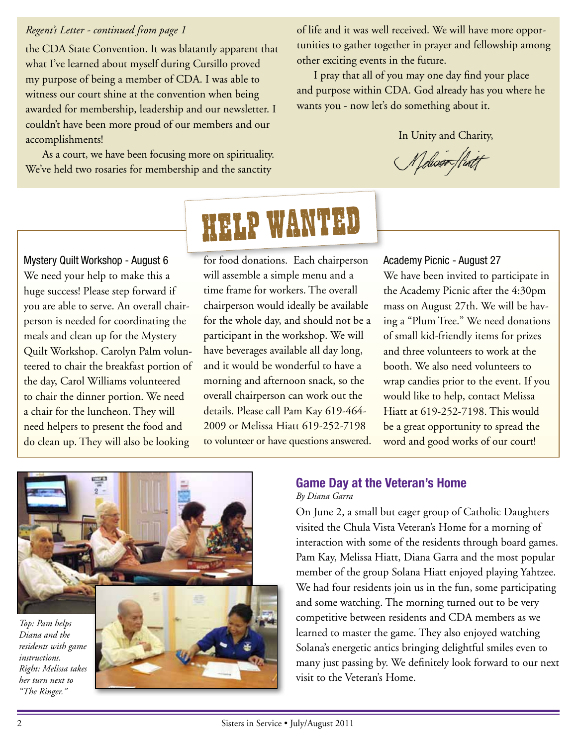### *Regent's Letter - continued from page 1*

the CDA State Convention. It was blatantly apparent that what I've learned about myself during Cursillo proved my purpose of being a member of CDA. I was able to witness our court shine at the convention when being awarded for membership, leadership and our newsletter. I couldn't have been more proud of our members and our accomplishments!

As a court, we have been focusing more on spirituality. We've held two rosaries for membership and the sanctity

of life and it was well received. We will have more opportunities to gather together in prayer and fellowship among other exciting events in the future.

I pray that all of you may one day find your place and purpose within CDA. God already has you where he wants you - now let's do something about it.

In Unity and Charity,

Meliosoffiatt

Mystery Quilt Workshop - August 6 We need your help to make this a huge success! Please step forward if you are able to serve. An overall chairperson is needed for coordinating the meals and clean up for the Mystery Quilt Workshop. Carolyn Palm volunteered to chair the breakfast portion of the day, Carol Williams volunteered to chair the dinner portion. We need a chair for the luncheon. They will need helpers to present the food and do clean up. They will also be looking

# HELP WANTED

for food donations. Each chairperson will assemble a simple menu and a time frame for workers. The overall chairperson would ideally be available for the whole day, and should not be a participant in the workshop. We will have beverages available all day long, and it would be wonderful to have a morning and afternoon snack, so the overall chairperson can work out the details. Please call Pam Kay 619-464- 2009 or Melissa Hiatt 619-252-7198 to volunteer or have questions answered.

#### Academy Picnic - August 27

We have been invited to participate in the Academy Picnic after the 4:30pm mass on August 27th. We will be having a "Plum Tree." We need donations of small kid-friendly items for prizes and three volunteers to work at the booth. We also need volunteers to wrap candies prior to the event. If you would like to help, contact Melissa Hiatt at 619-252-7198. This would be a great opportunity to spread the word and good works of our court!



# **Game Day at the Veteran's Home**

*By Diana Garra*

On June 2, a small but eager group of Catholic Daughters visited the Chula Vista Veteran's Home for a morning of interaction with some of the residents through board games. Pam Kay, Melissa Hiatt, Diana Garra and the most popular member of the group Solana Hiatt enjoyed playing Yahtzee. We had four residents join us in the fun, some participating and some watching. The morning turned out to be very competitive between residents and CDA members as we learned to master the game. They also enjoyed watching Solana's energetic antics bringing delightful smiles even to many just passing by. We definitely look forward to our next visit to the Veteran's Home.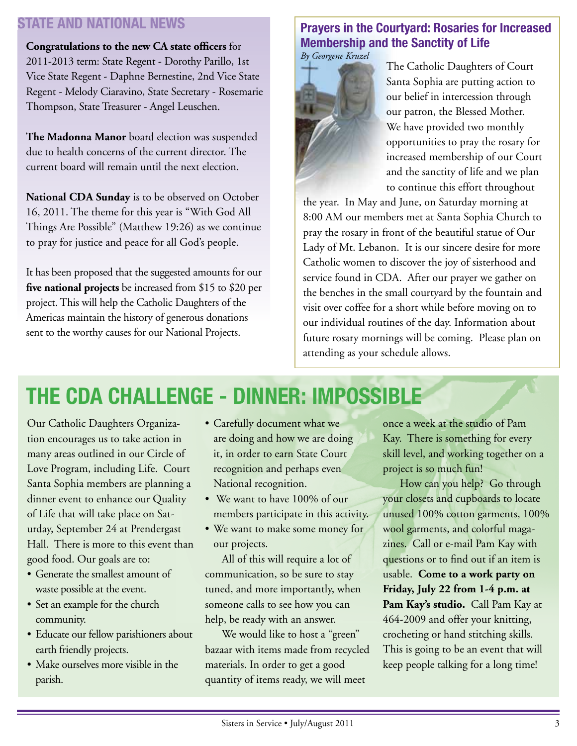# **STATE AND NATIONAL NEWS**

**Congratulations to the new CA state officers** for 2011-2013 term: State Regent - Dorothy Parillo, 1st Vice State Regent - Daphne Bernestine, 2nd Vice State Regent - Melody Ciaravino, State Secretary - Rosemarie Thompson, State Treasurer - Angel Leuschen.

**The Madonna Manor** board election was suspended due to health concerns of the current director. The current board will remain until the next election.

**National CDA Sunday** is to be observed on October 16, 2011. The theme for this year is "With God All Things Are Possible" (Matthew 19:26) as we continue to pray for justice and peace for all God's people.

It has been proposed that the suggested amounts for our **five national projects** be increased from \$15 to \$20 per project. This will help the Catholic Daughters of the Americas maintain the history of generous donations sent to the worthy causes for our National Projects.

# **Prayers in the Courtyard: Rosaries for Increased Membership and the Sanctity of Life**



The Catholic Daughters of Court Santa Sophia are putting action to our belief in intercession through our patron, the Blessed Mother. We have provided two monthly opportunities to pray the rosary for increased membership of our Court and the sanctity of life and we plan to continue this effort throughout

the year. In May and June, on Saturday morning at 8:00 AM our members met at Santa Sophia Church to pray the rosary in front of the beautiful statue of Our Lady of Mt. Lebanon. It is our sincere desire for more Catholic women to discover the joy of sisterhood and service found in CDA. After our prayer we gather on the benches in the small courtyard by the fountain and visit over coffee for a short while before moving on to our individual routines of the day. Information about future rosary mornings will be coming. Please plan on attending as your schedule allows.

# **THE CDA CHALLENGE - DINNER: IMPOSSIBLE**

Our Catholic Daughters Organization encourages us to take action in many areas outlined in our Circle of Love Program, including Life. Court Santa Sophia members are planning a dinner event to enhance our Quality of Life that will take place on Saturday, September 24 at Prendergast Hall. There is more to this event than good food. Our goals are to:

- Generate the smallest amount of waste possible at the event.
- Set an example for the church community.
- Educate our fellow parishioners about earth friendly projects.
- Make ourselves more visible in the parish.
- Carefully document what we are doing and how we are doing it, in order to earn State Court recognition and perhaps even National recognition.
- We want to have 100% of our members participate in this activity.
- We want to make some money for our projects.

All of this will require a lot of communication, so be sure to stay tuned, and more importantly, when someone calls to see how you can help, be ready with an answer.

We would like to host a "green" bazaar with items made from recycled materials. In order to get a good quantity of items ready, we will meet

once a week at the studio of Pam Kay. There is something for every skill level, and working together on a project is so much fun!

How can you help? Go through your closets and cupboards to locate unused 100% cotton garments, 100% wool garments, and colorful magazines. Call or e-mail Pam Kay with questions or to find out if an item is usable. **Come to a work party on Friday, July 22 from 1-4 p.m. at**  Pam Kay's studio. Call Pam Kay at 464-2009 and offer your knitting, crocheting or hand stitching skills. This is going to be an event that will keep people talking for a long time!